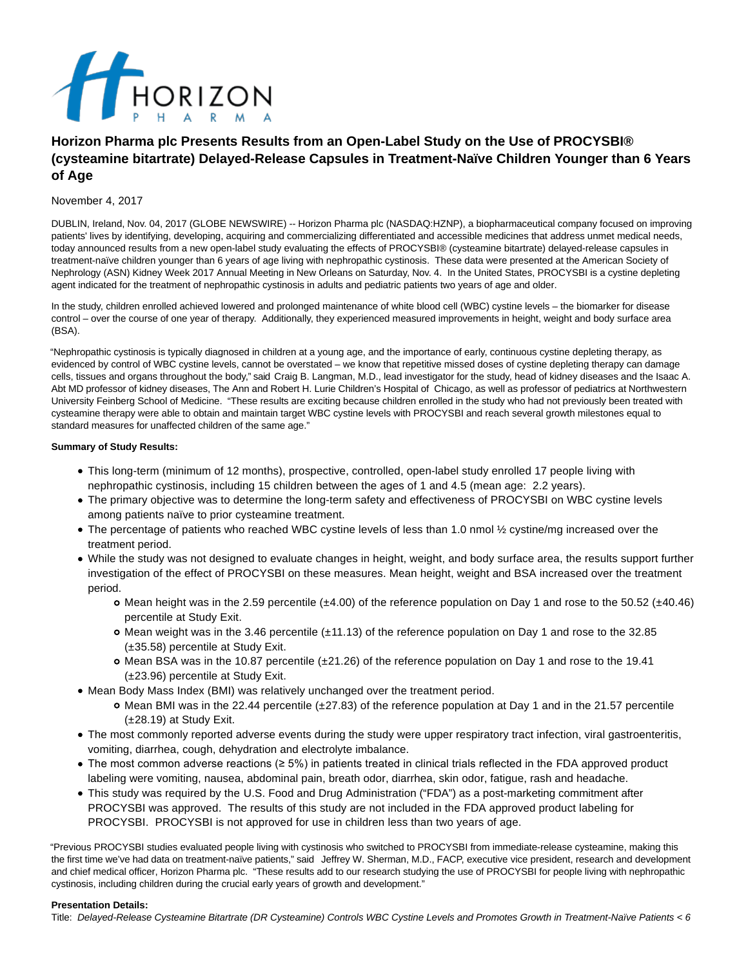

# **Horizon Pharma plc Presents Results from an Open-Label Study on the Use of PROCYSBI® (cysteamine bitartrate) Delayed-Release Capsules in Treatment-Naïve Children Younger than 6 Years of Age**

# November 4, 2017

DUBLIN, Ireland, Nov. 04, 2017 (GLOBE NEWSWIRE) -- Horizon Pharma plc (NASDAQ:HZNP), a biopharmaceutical company focused on improving patients' lives by identifying, developing, acquiring and commercializing differentiated and accessible medicines that address unmet medical needs, today announced results from a new open-label study evaluating the effects of PROCYSBI® (cysteamine bitartrate) delayed-release capsules in treatment-naïve children younger than 6 years of age living with nephropathic cystinosis. These data were presented at the American Society of Nephrology (ASN) Kidney Week 2017 Annual Meeting in New Orleans on Saturday, Nov. 4. In the United States, PROCYSBI is a cystine depleting agent indicated for the treatment of nephropathic cystinosis in adults and pediatric patients two years of age and older.

In the study, children enrolled achieved lowered and prolonged maintenance of white blood cell (WBC) cystine levels – the biomarker for disease control – over the course of one year of therapy. Additionally, they experienced measured improvements in height, weight and body surface area (BSA).

"Nephropathic cystinosis is typically diagnosed in children at a young age, and the importance of early, continuous cystine depleting therapy, as evidenced by control of WBC cystine levels, cannot be overstated – we know that repetitive missed doses of cystine depleting therapy can damage cells, tissues and organs throughout the body," said Craig B. Langman, M.D., lead investigator for the study, head of kidney diseases and the Isaac A. Abt MD professor of kidney diseases, The Ann and Robert H. Lurie Children's Hospital of Chicago, as well as professor of pediatrics at Northwestern University Feinberg School of Medicine. "These results are exciting because children enrolled in the study who had not previously been treated with cysteamine therapy were able to obtain and maintain target WBC cystine levels with PROCYSBI and reach several growth milestones equal to standard measures for unaffected children of the same age."

# **Summary of Study Results:**

- This long-term (minimum of 12 months), prospective, controlled, open-label study enrolled 17 people living with nephropathic cystinosis, including 15 children between the ages of 1 and 4.5 (mean age: 2.2 years).
- The primary objective was to determine the long-term safety and effectiveness of PROCYSBI on WBC cystine levels among patients naïve to prior cysteamine treatment.
- The percentage of patients who reached WBC cystine levels of less than 1.0 nmol ½ cystine/mg increased over the treatment period.
- While the study was not designed to evaluate changes in height, weight, and body surface area, the results support further investigation of the effect of PROCYSBI on these measures. Mean height, weight and BSA increased over the treatment period.
	- $\circ$  Mean height was in the 2.59 percentile ( $\pm 4.00$ ) of the reference population on Day 1 and rose to the 50.52 ( $\pm 40.46$ ) percentile at Study Exit.
	- Mean weight was in the 3.46 percentile (±11.13) of the reference population on Day 1 and rose to the 32.85 (±35.58) percentile at Study Exit.
	- $\circ$  Mean BSA was in the 10.87 percentile ( $\pm$ 21.26) of the reference population on Day 1 and rose to the 19.41 (±23.96) percentile at Study Exit.
- Mean Body Mass Index (BMI) was relatively unchanged over the treatment period.
	- o Mean BMI was in the 22.44 percentile (±27.83) of the reference population at Day 1 and in the 21.57 percentile (±28.19) at Study Exit.
- The most commonly reported adverse events during the study were upper respiratory tract infection, viral gastroenteritis, vomiting, diarrhea, cough, dehydration and electrolyte imbalance.
- The most common adverse reactions (≥ 5%) in patients treated in clinical trials reflected in the FDA approved product labeling were vomiting, nausea, abdominal pain, breath odor, diarrhea, skin odor, fatigue, rash and headache.
- This study was required by the U.S. Food and Drug Administration ("FDA") as a post-marketing commitment after PROCYSBI was approved. The results of this study are not included in the FDA approved product labeling for PROCYSBI. PROCYSBI is not approved for use in children less than two years of age.

"Previous PROCYSBI studies evaluated people living with cystinosis who switched to PROCYSBI from immediate-release cysteamine, making this the first time we've had data on treatment-naïve patients," said Jeffrey W. Sherman, M.D., FACP, executive vice president, research and development and chief medical officer, Horizon Pharma plc. "These results add to our research studying the use of PROCYSBI for people living with nephropathic cystinosis, including children during the crucial early years of growth and development."

## **Presentation Details:**

Title: Delayed-Release Cysteamine Bitartrate (DR Cysteamine) Controls WBC Cystine Levels and Promotes Growth in Treatment-Naïve Patients < 6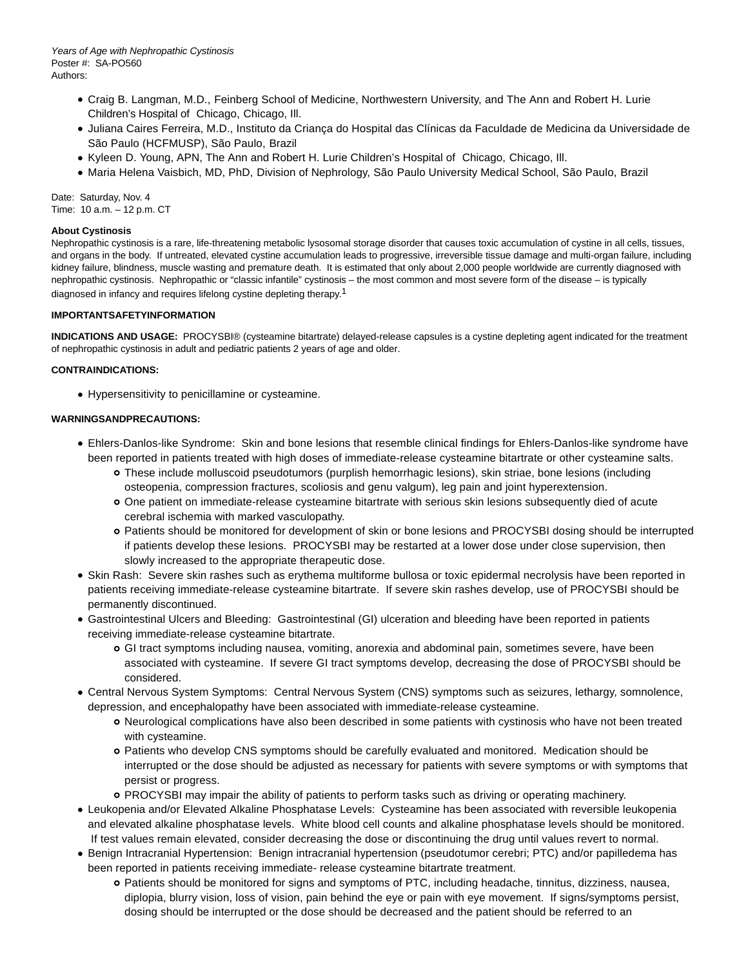- Craig B. Langman, M.D., Feinberg School of Medicine, Northwestern University, and The Ann and Robert H. Lurie Children's Hospital of Chicago, Chicago, Ill.
- Juliana Caires Ferreira, M.D., Instituto da Criança do Hospital das Clínicas da Faculdade de Medicina da Universidade de São Paulo (HCFMUSP), São Paulo, Brazil
- Kyleen D. Young, APN, The Ann and Robert H. Lurie Children's Hospital of Chicago, Chicago, Ill.
- Maria Helena Vaisbich, MD, PhD, Division of Nephrology, São Paulo University Medical School, São Paulo, Brazil

Date: Saturday, Nov. 4 Time: 10 a.m. – 12 p.m. CT

# **About Cystinosis**

Nephropathic cystinosis is a rare, life-threatening metabolic lysosomal storage disorder that causes toxic accumulation of cystine in all cells, tissues, and organs in the body. If untreated, elevated cystine accumulation leads to progressive, irreversible tissue damage and multi-organ failure, including kidney failure, blindness, muscle wasting and premature death. It is estimated that only about 2,000 people worldwide are currently diagnosed with nephropathic cystinosis. Nephropathic or "classic infantile" cystinosis – the most common and most severe form of the disease – is typically diagnosed in infancy and requires lifelong cystine depleting therapy.1

# **IMPORTANTSAFETYINFORMATION**

**INDICATIONS AND USAGE:** PROCYSBI® (cysteamine bitartrate) delayed-release capsules is a cystine depleting agent indicated for the treatment of nephropathic cystinosis in adult and pediatric patients 2 years of age and older.

# **CONTRAINDICATIONS:**

Hypersensitivity to penicillamine or cysteamine.

# **WARNINGSANDPRECAUTIONS:**

- Ehlers-Danlos-like Syndrome: Skin and bone lesions that resemble clinical findings for Ehlers-Danlos-like syndrome have been reported in patients treated with high doses of immediate-release cysteamine bitartrate or other cysteamine salts.
	- These include molluscoid pseudotumors (purplish hemorrhagic lesions), skin striae, bone lesions (including osteopenia, compression fractures, scoliosis and genu valgum), leg pain and joint hyperextension.
	- One patient on immediate-release cysteamine bitartrate with serious skin lesions subsequently died of acute cerebral ischemia with marked vasculopathy.
	- Patients should be monitored for development of skin or bone lesions and PROCYSBI dosing should be interrupted if patients develop these lesions. PROCYSBI may be restarted at a lower dose under close supervision, then slowly increased to the appropriate therapeutic dose.
- Skin Rash: Severe skin rashes such as erythema multiforme bullosa or toxic epidermal necrolysis have been reported in patients receiving immediate-release cysteamine bitartrate. If severe skin rashes develop, use of PROCYSBI should be permanently discontinued.
- Gastrointestinal Ulcers and Bleeding: Gastrointestinal (GI) ulceration and bleeding have been reported in patients receiving immediate-release cysteamine bitartrate.
	- GI tract symptoms including nausea, vomiting, anorexia and abdominal pain, sometimes severe, have been associated with cysteamine. If severe GI tract symptoms develop, decreasing the dose of PROCYSBI should be considered.
- Central Nervous System Symptoms: Central Nervous System (CNS) symptoms such as seizures, lethargy, somnolence, depression, and encephalopathy have been associated with immediate-release cysteamine.
	- Neurological complications have also been described in some patients with cystinosis who have not been treated with cysteamine.
	- Patients who develop CNS symptoms should be carefully evaluated and monitored. Medication should be interrupted or the dose should be adjusted as necessary for patients with severe symptoms or with symptoms that persist or progress.
	- PROCYSBI may impair the ability of patients to perform tasks such as driving or operating machinery.
- Leukopenia and/or Elevated Alkaline Phosphatase Levels: Cysteamine has been associated with reversible leukopenia and elevated alkaline phosphatase levels. White blood cell counts and alkaline phosphatase levels should be monitored. If test values remain elevated, consider decreasing the dose or discontinuing the drug until values revert to normal.
- Benign Intracranial Hypertension: Benign intracranial hypertension (pseudotumor cerebri; PTC) and/or papilledema has been reported in patients receiving immediate- release cysteamine bitartrate treatment.
	- Patients should be monitored for signs and symptoms of PTC, including headache, tinnitus, dizziness, nausea, diplopia, blurry vision, loss of vision, pain behind the eye or pain with eye movement. If signs/symptoms persist, dosing should be interrupted or the dose should be decreased and the patient should be referred to an